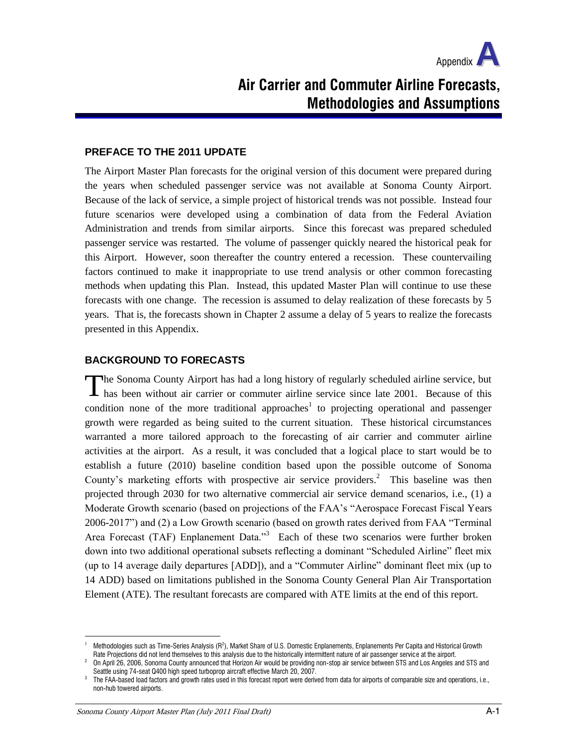

# **Air Carrier and Commuter Airline Forecasts, Methodologies and Assumptions**

#### **PREFACE TO THE 2011 UPDATE**

The Airport Master Plan forecasts for the original version of this document were prepared during the years when scheduled passenger service was not available at Sonoma County Airport. Because of the lack of service, a simple project of historical trends was not possible. Instead four future scenarios were developed using a combination of data from the Federal Aviation Administration and trends from similar airports. Since this forecast was prepared scheduled passenger service was restarted. The volume of passenger quickly neared the historical peak for this Airport. However, soon thereafter the country entered a recession. These countervailing factors continued to make it inappropriate to use trend analysis or other common forecasting methods when updating this Plan. Instead, this updated Master Plan will continue to use these forecasts with one change. The recession is assumed to delay realization of these forecasts by 5 years. That is, the forecasts shown in Chapter 2 assume a delay of 5 years to realize the forecasts presented in this Appendix.

# **BACKGROUND TO FORECASTS**

**The Sonoma County Airport has had a long history of regularly scheduled airline service, but** The Sonoma County Airport has had a long history of regularly scheduled airline service, but has been without air carrier or commuter airline service since late 2001. Because of this condition none of the more traditional approaches<sup>1</sup> to projecting operational and passenger growth were regarded as being suited to the current situation. These historical circumstances warranted a more tailored approach to the forecasting of air carrier and commuter airline activities at the airport. As a result, it was concluded that a logical place to start would be to establish a future (2010) baseline condition based upon the possible outcome of Sonoma County's marketing efforts with prospective air service providers.<sup>2</sup> This baseline was then projected through 2030 for two alternative commercial air service demand scenarios, i.e., (1) a Moderate Growth scenario (based on projections of the FAA's "Aerospace Forecast Fiscal Years 2006-2017") and (2) a Low Growth scenario (based on growth rates derived from FAA "Terminal Area Forecast (TAF) Enplanement Data."<sup>3</sup> Each of these two scenarios were further broken down into two additional operational subsets reflecting a dominant "Scheduled Airline" fleet mix (up to 14 average daily departures [ADD]), and a "Commuter Airline" dominant fleet mix (up to 14 ADD) based on limitations published in the Sonoma County General Plan Air Transportation Element (ATE). The resultant forecasts are compared with ATE limits at the end of this report.

 $^1$  Methodologies such as Time-Series Analysis (R<sup>2</sup>), Market Share of U.S. Domestic Enplanements, Enplanements Per Capita and Historical Growth Rate Projections did not lend themselves to this analysis due to the historically intermittent nature of air passenger service at the airport.

<sup>2</sup> On April 26, 2006, Sonoma County announced that Horizon Air would be providing non-stop air service between STS and Los Angeles and STS and Seattle using 74-seat Q400 high speed turboprop aircraft effective March 20, 2007.

<sup>3</sup> The FAA-based load factors and growth rates used in this forecast report were derived from data for airports of comparable size and operations, i.e., non-hub towered airports.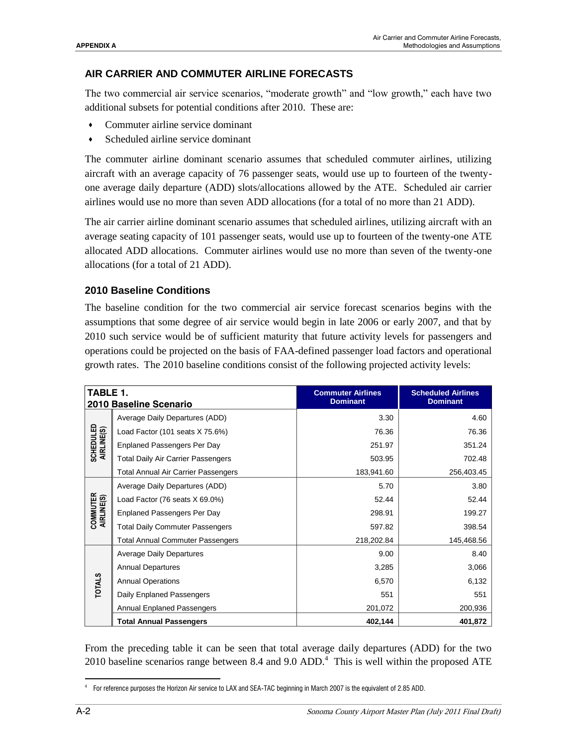#### **AIR CARRIER AND COMMUTER AIRLINE FORECASTS**

The two commercial air service scenarios, "moderate growth" and "low growth," each have two additional subsets for potential conditions after 2010. These are:

- Commuter airline service dominant
- Scheduled airline service dominant

The commuter airline dominant scenario assumes that scheduled commuter airlines, utilizing aircraft with an average capacity of 76 passenger seats, would use up to fourteen of the twentyone average daily departure (ADD) slots/allocations allowed by the ATE. Scheduled air carrier airlines would use no more than seven ADD allocations (for a total of no more than 21 ADD).

The air carrier airline dominant scenario assumes that scheduled airlines, utilizing aircraft with an average seating capacity of 101 passenger seats, would use up to fourteen of the twenty-one ATE allocated ADD allocations. Commuter airlines would use no more than seven of the twenty-one allocations (for a total of 21 ADD).

#### **2010 Baseline Conditions**

The baseline condition for the two commercial air service forecast scenarios begins with the assumptions that some degree of air service would begin in late 2006 or early 2007, and that by 2010 such service would be of sufficient maturity that future activity levels for passengers and operations could be projected on the basis of FAA-defined passenger load factors and operational growth rates. The 2010 baseline conditions consist of the following projected activity levels:

| TABLE 1.<br>2010 Baseline Scenario |                                           | <b>Commuter Airlines</b><br><b>Dominant</b> | <b>Scheduled Airlines</b><br><b>Dominant</b> |  |
|------------------------------------|-------------------------------------------|---------------------------------------------|----------------------------------------------|--|
|                                    |                                           |                                             |                                              |  |
|                                    | Average Daily Departures (ADD)            | 3.30                                        | 4.60                                         |  |
|                                    | Load Factor (101 seats X 75.6%)           | 76.36                                       | 76.36                                        |  |
| <b>SCHEDULED</b><br>AIRLINE(S)     | <b>Enplaned Passengers Per Day</b>        | 251.97                                      | 351.24                                       |  |
|                                    | <b>Total Daily Air Carrier Passengers</b> | 503.95                                      | 702.48                                       |  |
|                                    | Total Annual Air Carrier Passengers       | 183,941.60                                  | 256,403.45                                   |  |
|                                    | Average Daily Departures (ADD)            | 5.70                                        | 3.80                                         |  |
| COMMUTER<br>AIRLINE(S)             | Load Factor (76 seats X 69.0%)            | 52.44                                       | 52.44                                        |  |
|                                    | <b>Enplaned Passengers Per Day</b>        | 298.91                                      | 199.27                                       |  |
|                                    | <b>Total Daily Commuter Passengers</b>    | 597.82                                      | 398.54                                       |  |
|                                    | <b>Total Annual Commuter Passengers</b>   | 218,202.84                                  | 145,468.56                                   |  |
| <b>TOTALS</b>                      | <b>Average Daily Departures</b>           | 9.00                                        | 8.40                                         |  |
|                                    | <b>Annual Departures</b>                  | 3,285                                       | 3,066                                        |  |
|                                    | <b>Annual Operations</b>                  | 6,570                                       | 6,132                                        |  |
|                                    | Daily Enplaned Passengers                 | 551                                         | 551                                          |  |
|                                    | <b>Annual Enplaned Passengers</b>         | 201,072                                     | 200,936                                      |  |
|                                    | <b>Total Annual Passengers</b>            | 402,144                                     | 401,872                                      |  |

From the preceding table it can be seen that total average daily departures (ADD) for the two 2010 baseline scenarios range between 8.4 and 9.0  $ADD<sup>4</sup>$ . This is well within the proposed ATE

 $\overline{a}$ 4 For reference purposes the Horizon Air service to LAX and SEA-TAC beginning in March 2007 is the equivalent of 2.85 ADD.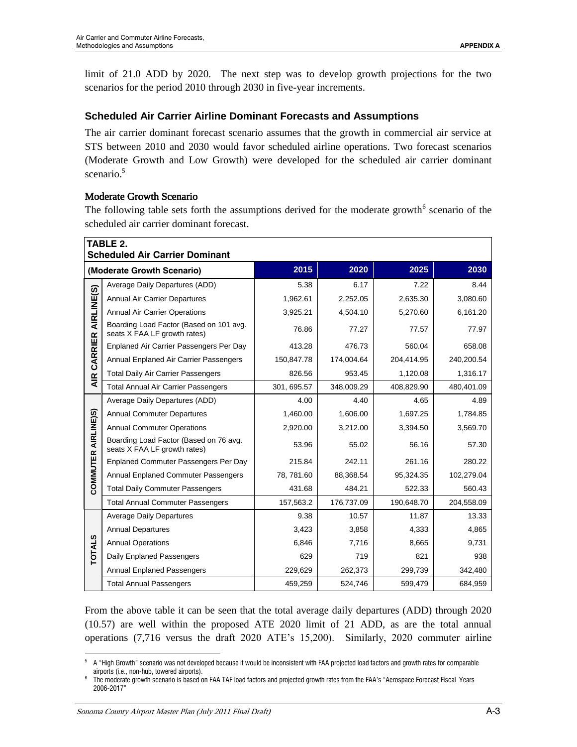limit of 21.0 ADD by 2020. The next step was to develop growth projections for the two scenarios for the period 2010 through 2030 in five-year increments.

# **Scheduled Air Carrier Airline Dominant Forecasts and Assumptions**

The air carrier dominant forecast scenario assumes that the growth in commercial air service at STS between 2010 and 2030 would favor scheduled airline operations. Two forecast scenarios (Moderate Growth and Low Growth) were developed for the scheduled air carrier dominant scenario. 5

# Moderate Growth Scenario

The following table sets forth the assumptions derived for the moderate growth $6$  scenario of the scheduled air carrier dominant forecast.

| TABLE 2.<br><b>Scheduled Air Carrier Dominant</b> |                                                                         |             |            |            |            |  |
|---------------------------------------------------|-------------------------------------------------------------------------|-------------|------------|------------|------------|--|
|                                                   | (Moderate Growth Scenario)                                              | 2015        | 2020       | 2025       | 2030       |  |
|                                                   | Average Daily Departures (ADD)                                          | 5.38        | 6.17       | 7.22       | 8.44       |  |
|                                                   | <b>Annual Air Carrier Departures</b>                                    | 1,962.61    | 2,252.05   | 2,635.30   | 3,080.60   |  |
| AIR CARRIER AIRLINE(S)                            | <b>Annual Air Carrier Operations</b>                                    | 3,925.21    | 4,504.10   | 5,270.60   | 6,161.20   |  |
|                                                   | Boarding Load Factor (Based on 101 avg.<br>seats X FAA LF growth rates) | 76.86       | 77.27      | 77.57      | 77.97      |  |
|                                                   | Enplaned Air Carrier Passengers Per Day                                 | 413.28      | 476.73     | 560.04     | 658.08     |  |
|                                                   | Annual Enplaned Air Carrier Passengers                                  | 150,847.78  | 174,004.64 | 204,414.95 | 240,200.54 |  |
|                                                   | <b>Total Daily Air Carrier Passengers</b>                               | 826.56      | 953.45     | 1,120.08   | 1,316.17   |  |
|                                                   | <b>Total Annual Air Carrier Passengers</b>                              | 301, 695.57 | 348,009.29 | 408,829.90 | 480,401.09 |  |
|                                                   | Average Daily Departures (ADD)                                          | 4.00        | 4.40       | 4.65       | 4.89       |  |
|                                                   | <b>Annual Commuter Departures</b>                                       | 1,460.00    | 1,606.00   | 1,697.25   | 1,784.85   |  |
|                                                   | <b>Annual Commuter Operations</b>                                       | 2,920.00    | 3,212.00   | 3,394.50   | 3,569.70   |  |
| COMMUTER AIRLINE)S)                               | Boarding Load Factor (Based on 76 avg.<br>seats X FAA LF growth rates)  | 53.96       | 55.02      | 56.16      | 57.30      |  |
|                                                   | <b>Enplaned Commuter Passengers Per Day</b>                             | 215.84      | 242.11     | 261.16     | 280.22     |  |
|                                                   | <b>Annual Enplaned Commuter Passengers</b>                              | 78, 781.60  | 88,368.54  | 95,324.35  | 102,279.04 |  |
|                                                   | <b>Total Daily Commuter Passengers</b>                                  | 431.68      | 484.21     | 522.33     | 560.43     |  |
|                                                   | <b>Total Annual Commuter Passengers</b>                                 | 157,563.2   | 176,737.09 | 190,648.70 | 204,558.09 |  |
|                                                   | <b>Average Daily Departures</b>                                         | 9.38        | 10.57      | 11.87      | 13.33      |  |
|                                                   | <b>Annual Departures</b>                                                | 3,423       | 3,858      | 4,333      | 4,865      |  |
| <b>TOTALS</b>                                     | <b>Annual Operations</b>                                                | 6,846       | 7,716      | 8,665      | 9,731      |  |
|                                                   | Daily Enplaned Passengers                                               | 629         | 719        | 821        | 938        |  |
|                                                   | <b>Annual Enplaned Passengers</b>                                       | 229,629     | 262,373    | 299,739    | 342,480    |  |
|                                                   | <b>Total Annual Passengers</b>                                          | 459,259     | 524,746    | 599,479    | 684,959    |  |

From the above table it can be seen that the total average daily departures (ADD) through 2020 (10.57) are well within the proposed ATE 2020 limit of 21 ADD, as are the total annual operations (7,716 versus the draft 2020 ATE's 15,200). Similarly, 2020 commuter airline

 $\overline{a}$ <sup>5</sup> A "High Growth" scenario was not developed because it would be inconsistent with FAA projected load factors and growth rates for comparable airports (i.e., non-hub, towered airports).

<sup>6</sup> The moderate growth scenario is based on FAA TAF load factors and projected growth rates from the FAA's "Aerospace Forecast Fiscal Years 2006-2017"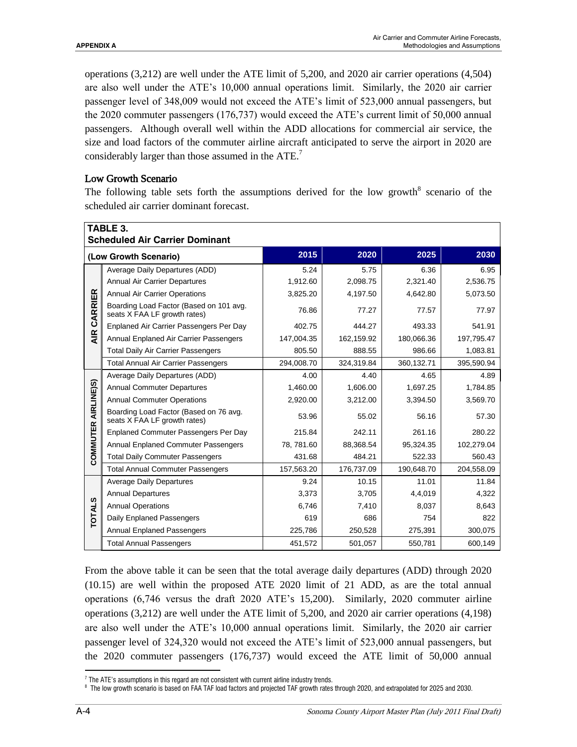operations (3,212) are well under the ATE limit of 5,200, and 2020 air carrier operations (4,504) are also well under the ATE's 10,000 annual operations limit. Similarly, the 2020 air carrier passenger level of 348,009 would not exceed the ATE's limit of 523,000 annual passengers, but the 2020 commuter passengers (176,737) would exceed the ATE's current limit of 50,000 annual passengers. Although overall well within the ADD allocations for commercial air service, the size and load factors of the commuter airline aircraft anticipated to serve the airport in 2020 are considerably larger than those assumed in the ATE.<sup>7</sup>

#### Low Growth Scenario

The following table sets forth the assumptions derived for the low growth $8$  scenario of the scheduled air carrier dominant forecast.

| TABLE 3.<br><b>Scheduled Air Carrier Dominant</b> |                                                                         |            |            |            |            |  |
|---------------------------------------------------|-------------------------------------------------------------------------|------------|------------|------------|------------|--|
| (Low Growth Scenario)                             |                                                                         | 2015       | 2020       | 2025       | 2030       |  |
| CARRIER                                           | Average Daily Departures (ADD)                                          | 5.24       | 5.75       | 6.36       | 6.95       |  |
|                                                   | <b>Annual Air Carrier Departures</b>                                    | 1,912.60   | 2,098.75   | 2,321.40   | 2,536.75   |  |
|                                                   | <b>Annual Air Carrier Operations</b>                                    | 3,825.20   | 4,197.50   | 4,642.80   | 5,073.50   |  |
|                                                   | Boarding Load Factor (Based on 101 avg.<br>seats X FAA LF growth rates) | 76.86      | 77.27      | 77.57      | 77.97      |  |
|                                                   | Enplaned Air Carrier Passengers Per Day                                 | 402.75     | 444.27     | 493.33     | 541.91     |  |
| $rac{R}{4}$                                       | Annual Enplaned Air Carrier Passengers                                  | 147,004.35 | 162,159.92 | 180,066.36 | 197,795.47 |  |
|                                                   | <b>Total Daily Air Carrier Passengers</b>                               | 805.50     | 888.55     | 986.66     | 1,083.81   |  |
|                                                   | <b>Total Annual Air Carrier Passengers</b>                              | 294,008.70 | 324,319.84 | 360,132.71 | 395,590.94 |  |
|                                                   | Average Daily Departures (ADD)                                          | 4.00       | 4.40       | 4.65       | 4.89       |  |
|                                                   | <b>Annual Commuter Departures</b>                                       | 1,460.00   | 1,606.00   | 1,697.25   | 1,784.85   |  |
|                                                   | <b>Annual Commuter Operations</b>                                       | 2,920.00   | 3,212.00   | 3,394.50   | 3,569.70   |  |
| COMMUTER AIRLINE)S)                               | Boarding Load Factor (Based on 76 avg.<br>seats X FAA LF growth rates)  | 53.96      | 55.02      | 56.16      | 57.30      |  |
|                                                   | Enplaned Commuter Passengers Per Day                                    | 215.84     | 242.11     | 261.16     | 280.22     |  |
|                                                   | Annual Enplaned Commuter Passengers                                     | 78, 781.60 | 88,368.54  | 95,324.35  | 102,279.04 |  |
|                                                   | <b>Total Daily Commuter Passengers</b>                                  | 431.68     | 484.21     | 522.33     | 560.43     |  |
|                                                   | <b>Total Annual Commuter Passengers</b>                                 | 157,563.20 | 176,737.09 | 190,648.70 | 204,558.09 |  |
|                                                   | <b>Average Daily Departures</b>                                         | 9.24       | 10.15      | 11.01      | 11.84      |  |
| <b>TOTALS</b>                                     | <b>Annual Departures</b>                                                | 3,373      | 3,705      | 4,4,019    | 4,322      |  |
|                                                   | <b>Annual Operations</b>                                                | 6,746      | 7,410      | 8,037      | 8,643      |  |
|                                                   | Daily Enplaned Passengers                                               | 619        | 686        | 754        | 822        |  |
|                                                   | <b>Annual Enplaned Passengers</b>                                       | 225,786    | 250,528    | 275,391    | 300,075    |  |
|                                                   | <b>Total Annual Passengers</b>                                          | 451,572    | 501,057    | 550,781    | 600,149    |  |

From the above table it can be seen that the total average daily departures (ADD) through 2020 (10.15) are well within the proposed ATE 2020 limit of 21 ADD, as are the total annual operations (6,746 versus the draft 2020 ATE's 15,200). Similarly, 2020 commuter airline operations (3,212) are well under the ATE limit of 5,200, and 2020 air carrier operations (4,198) are also well under the ATE's 10,000 annual operations limit. Similarly, the 2020 air carrier passenger level of 324,320 would not exceed the ATE's limit of 523,000 annual passengers, but the 2020 commuter passengers (176,737) would exceed the ATE limit of 50,000 annual

 $\overline{a}$  $7$  The ATE's assumptions in this regard are not consistent with current airline industry trends.

 $^{\circ}$  The low growth scenario is based on FAA TAF load factors and projected TAF growth rates through 2020, and extrapolated for 2025 and 2030.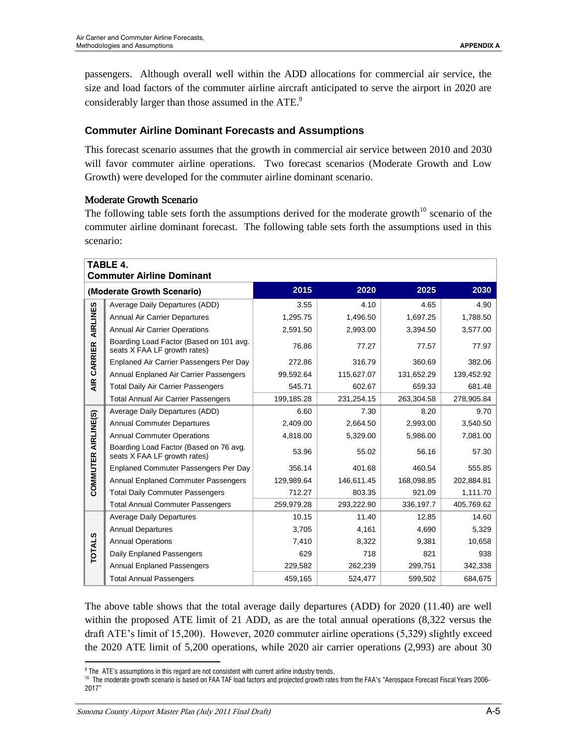passengers. Although overall well within the ADD allocations for commercial air service, the size and load factors of the commuter airline aircraft anticipated to serve the airport in 2020 are considerably larger than those assumed in the ATE.<sup>9</sup>

# **Commuter Airline Dominant Forecasts and Assumptions**

This forecast scenario assumes that the growth in commercial air service between 2010 and 2030 will favor commuter airline operations. Two forecast scenarios (Moderate Growth and Low Growth) were developed for the commuter airline dominant scenario.

# Moderate Growth Scenario

The following table sets forth the assumptions derived for the moderate growth<sup>10</sup> scenario of the commuter airline dominant forecast. The following table sets forth the assumptions used in this scenario:

| TABLE 4.<br><b>Commuter Airline Dominant</b> |                                                                         |            |            |            |            |  |  |
|----------------------------------------------|-------------------------------------------------------------------------|------------|------------|------------|------------|--|--|
|                                              | (Moderate Growth Scenario)                                              | 2015       | 2020       | 2025       | 2030       |  |  |
|                                              | Average Daily Departures (ADD)                                          | 3.55       | 4.10       | 4.65       | 4.90       |  |  |
|                                              | <b>Annual Air Carrier Departures</b>                                    | 1.295.75   | 1,496.50   | 1,697.25   | 1,788.50   |  |  |
| AIRLINES                                     | <b>Annual Air Carrier Operations</b>                                    | 2,591.50   | 2,993.00   | 3,394.50   | 3,577.00   |  |  |
| CARRIER                                      | Boarding Load Factor (Based on 101 avg.<br>seats X FAA LF growth rates) | 76.86      | 77.27      | 77.57      | 77.97      |  |  |
|                                              | Enplaned Air Carrier Passengers Per Day                                 | 272.86     | 316.79     | 360.69     | 382.06     |  |  |
|                                              | Annual Enplaned Air Carrier Passengers                                  | 99,592.64  | 115,627.07 | 131,652.29 | 139,452.92 |  |  |
| <b>AIR</b>                                   | <b>Total Daily Air Carrier Passengers</b>                               | 545.71     | 602.67     | 659.33     | 681.48     |  |  |
|                                              | <b>Total Annual Air Carrier Passengers</b>                              | 199,185.28 | 231,254.15 | 263,304.58 | 278,905.84 |  |  |
|                                              | Average Daily Departures (ADD)                                          | 6.60       | 7.30       | 8.20       | 9.70       |  |  |
| COMMUTER AIRLINE(S)                          | <b>Annual Commuter Departures</b>                                       | 2.409.00   | 2.664.50   | 2.993.00   | 3,540.50   |  |  |
|                                              | <b>Annual Commuter Operations</b>                                       | 4,818.00   | 5,329.00   | 5,986.00   | 7,081.00   |  |  |
|                                              | Boarding Load Factor (Based on 76 avg.<br>seats X FAA LF growth rates)  | 53.96      | 55.02      | 56.16      | 57.30      |  |  |
|                                              | Enplaned Commuter Passengers Per Day                                    | 356.14     | 401.68     | 460.54     | 555.85     |  |  |
|                                              | Annual Enplaned Commuter Passengers                                     | 129,989.64 | 146,611.45 | 168,098.85 | 202,884.81 |  |  |
|                                              | <b>Total Daily Commuter Passengers</b>                                  | 712.27     | 803.35     | 921.09     | 1,111.70   |  |  |
|                                              | <b>Total Annual Commuter Passengers</b>                                 | 259,979.28 | 293,222.90 | 336,197.7  | 405,769.62 |  |  |
|                                              | <b>Average Daily Departures</b>                                         | 10.15      | 11.40      | 12.85      | 14.60      |  |  |
| <b>TOTALS</b>                                | <b>Annual Departures</b>                                                | 3,705      | 4,161      | 4,690      | 5,329      |  |  |
|                                              | <b>Annual Operations</b>                                                | 7,410      | 8,322      | 9,381      | 10,658     |  |  |
|                                              | Daily Enplaned Passengers                                               | 629        | 718        | 821        | 938        |  |  |
|                                              | <b>Annual Enplaned Passengers</b>                                       | 229,582    | 262,239    | 299,751    | 342,338    |  |  |
|                                              | <b>Total Annual Passengers</b>                                          | 459,165    | 524,477    | 599,502    | 684,675    |  |  |

The above table shows that the total average daily departures (ADD) for 2020 (11.40) are well within the proposed ATE limit of 21 ADD, as are the total annual operations (8,322 versus the draft ATE's limit of 15,200). However, 2020 commuter airline operations (5,329) slightly exceed the 2020 ATE limit of 5,200 operations, while 2020 air carrier operations (2,993) are about 30

<sup>&</sup>lt;sup>9</sup> The ATE's assumptions in this regard are not consistent with current airline industry trends.

<sup>&</sup>lt;sup>10</sup> The moderate growth scenario is based on FAA TAF load factors and projected growth rates from the FAA's "Aerospace Forecast Fiscal Years 2006-2017"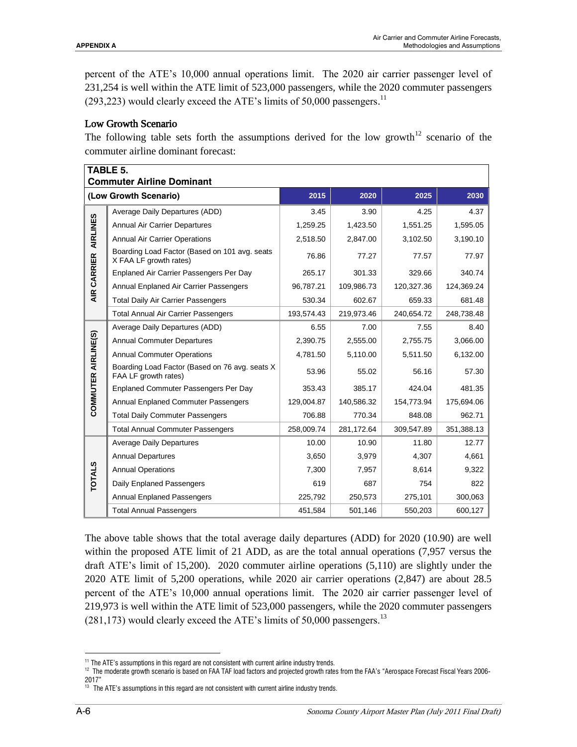percent of the ATE's 10,000 annual operations limit. The 2020 air carrier passenger level of 231,254 is well within the ATE limit of 523,000 passengers, while the 2020 commuter passengers  $(293,223)$  would clearly exceed the ATE's limits of 50,000 passengers.<sup>11</sup>

# Low Growth Scenario

The following table sets forth the assumptions derived for the low growth<sup>12</sup> scenario of the commuter airline dominant forecast:

| TABLE 5.<br><b>Commuter Airline Dominant</b> |                                                                         |              |            |            |            |  |
|----------------------------------------------|-------------------------------------------------------------------------|--------------|------------|------------|------------|--|
|                                              | (Low Growth Scenario)                                                   | 2015         | 2020       | 2025       | 2030       |  |
|                                              | Average Daily Departures (ADD)                                          | 3.90<br>3.45 |            | 4.25       | 4.37       |  |
|                                              | <b>Annual Air Carrier Departures</b>                                    | 1,259.25     | 1,423.50   | 1,551.25   | 1,595.05   |  |
|                                              | <b>Annual Air Carrier Operations</b>                                    | 2,518.50     | 2,847.00   | 3,102.50   | 3,190.10   |  |
| AIR CARRIER AIRLINES                         | Boarding Load Factor (Based on 101 avg. seats<br>X FAA LF growth rates) | 76.86        | 77.27      | 77.57      | 77.97      |  |
|                                              | Enplaned Air Carrier Passengers Per Day                                 | 265.17       | 301.33     | 329.66     | 340.74     |  |
|                                              | Annual Enplaned Air Carrier Passengers                                  | 96,787.21    | 109,986.73 | 120,327.36 | 124,369.24 |  |
|                                              | <b>Total Daily Air Carrier Passengers</b>                               | 530.34       | 602.67     | 659.33     | 681.48     |  |
|                                              | <b>Total Annual Air Carrier Passengers</b>                              | 193,574.43   | 219,973.46 | 240,654.72 | 248,738.48 |  |
|                                              | Average Daily Departures (ADD)                                          | 6.55         | 7.00       | 7.55       | 8.40       |  |
|                                              | <b>Annual Commuter Departures</b>                                       | 2,390.75     | 2,555.00   | 2.755.75   | 3,066.00   |  |
| COMMUTER AIRLINE(S)                          | <b>Annual Commuter Operations</b>                                       | 4,781.50     | 5,110.00   | 5,511.50   | 6,132.00   |  |
|                                              | Boarding Load Factor (Based on 76 avg. seats X<br>FAA LF growth rates)  | 53.96        | 55.02      | 56.16      | 57.30      |  |
|                                              | Enplaned Commuter Passengers Per Day                                    | 353.43       | 385.17     | 424.04     | 481.35     |  |
|                                              | Annual Enplaned Commuter Passengers                                     | 129,004.87   | 140,586.32 | 154,773.94 | 175,694.06 |  |
|                                              | <b>Total Daily Commuter Passengers</b>                                  | 706.88       | 770.34     | 848.08     | 962.71     |  |
|                                              | <b>Total Annual Commuter Passengers</b>                                 | 258,009.74   | 281,172.64 | 309,547.89 | 351,388.13 |  |
|                                              | <b>Average Daily Departures</b>                                         | 10.00        | 10.90      | 11.80      | 12.77      |  |
| <b>TOTALS</b>                                | <b>Annual Departures</b>                                                | 3,650        | 3,979      | 4,307      | 4,661      |  |
|                                              | <b>Annual Operations</b>                                                | 7,300        | 7,957      | 8,614      | 9,322      |  |
|                                              | Daily Enplaned Passengers                                               | 619          | 687        | 754        | 822        |  |
|                                              | <b>Annual Enplaned Passengers</b>                                       | 225,792      | 250,573    | 275,101    | 300,063    |  |
|                                              | <b>Total Annual Passengers</b>                                          | 451,584      | 501,146    | 550,203    | 600,127    |  |

The above table shows that the total average daily departures (ADD) for 2020 (10.90) are well within the proposed ATE limit of 21 ADD, as are the total annual operations (7,957 versus the draft ATE's limit of 15,200). 2020 commuter airline operations (5,110) are slightly under the 2020 ATE limit of 5,200 operations, while 2020 air carrier operations (2,847) are about 28.5 percent of the ATE's 10,000 annual operations limit. The 2020 air carrier passenger level of 219,973 is well within the ATE limit of 523,000 passengers, while the 2020 commuter passengers  $(281,173)$  would clearly exceed the ATE's limits of 50,000 passengers.<sup>13</sup>

<sup>12</sup> The moderate growth scenario is based on FAA TAF load factors and projected growth rates from the FAA's "Aerospace Forecast Fiscal Years 2006-2017"

<sup>&</sup>lt;sup>11</sup> The ATE's assumptions in this regard are not consistent with current airline industry trends.

<sup>&</sup>lt;sup>13</sup> The ATE's assumptions in this regard are not consistent with current airline industry trends.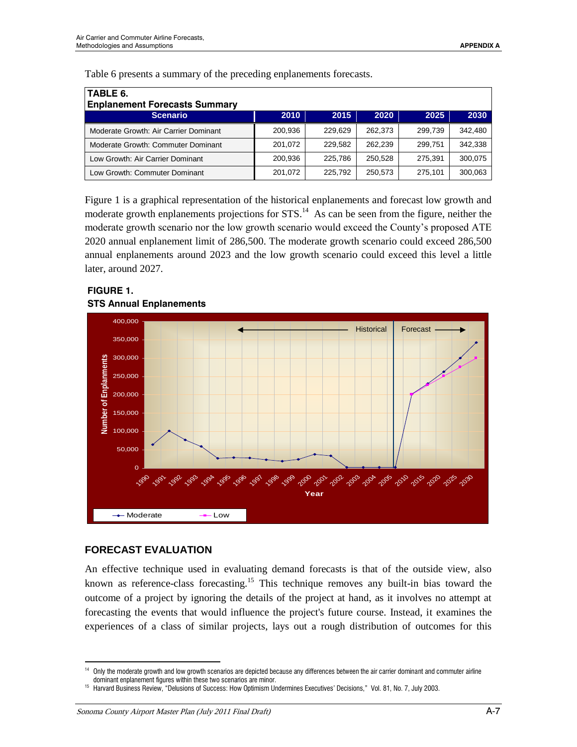| TABLE 6.                              |         |         |         |         |         |  |  |
|---------------------------------------|---------|---------|---------|---------|---------|--|--|
| <b>Enplanement Forecasts Summary</b>  |         |         |         |         |         |  |  |
| <b>Scenario</b>                       | 2010    | 2015    | 2020    | 2025    | 2030    |  |  |
| Moderate Growth: Air Carrier Dominant | 200,936 | 229.629 | 262.373 | 299.739 | 342.480 |  |  |
| Moderate Growth: Commuter Dominant    | 201.072 | 229.582 | 262,239 | 299.751 | 342.338 |  |  |
| Low Growth: Air Carrier Dominant      | 200.936 | 225,786 | 250.528 | 275.391 | 300,075 |  |  |
| Low Growth: Commuter Dominant         | 201.072 | 225.792 | 250,573 | 275.101 | 300,063 |  |  |

Table 6 presents a summary of the preceding enplanements forecasts.

Figure 1 is a graphical representation of the historical enplanements and forecast low growth and moderate growth enplanements projections for  $STS$ <sup>14</sup>. As can be seen from the figure, neither the moderate growth scenario nor the low growth scenario would exceed the County's proposed ATE 2020 annual enplanement limit of 286,500. The moderate growth scenario could exceed 286,500 annual enplanements around 2023 and the low growth scenario could exceed this level a little later, around 2027.



# **FIGURE 1. STS Annual Enplanements**

# **FORECAST EVALUATION**

 $\overline{a}$ 

An effective technique used in evaluating demand forecasts is that of the outside view, also known as reference-class forecasting.<sup>15</sup> This technique removes any built-in bias toward the outcome of a project by ignoring the details of the project at hand, as it involves no attempt at forecasting the events that would influence the project's future course. Instead, it examines the experiences of a class of similar projects, lays out a rough distribution of outcomes for this

<sup>&</sup>lt;sup>14</sup> Only the moderate growth and low growth scenarios are depicted because any differences between the air carrier dominant and commuter airline dominant enplanement figures within these two scenarios are minor.

<sup>&</sup>lt;sup>15</sup> Harvard Business Review, "Delusions of Success: How Optimism Undermines Executives' Decisions," Vol. 81, No. 7, July 2003.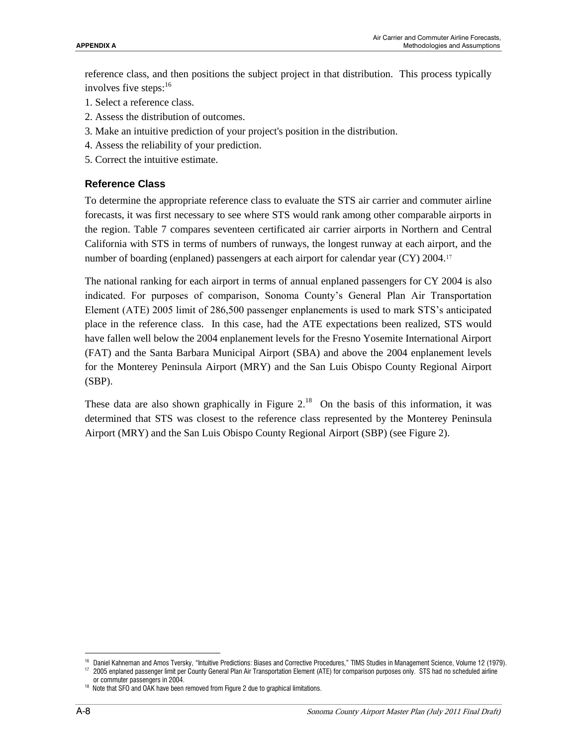reference class, and then positions the subject project in that distribution. This process typically involves five steps:<sup>16</sup>

- 1. Select a reference class.
- 2. Assess the distribution of outcomes.
- 3. Make an intuitive prediction of your project's position in the distribution.
- 4. Assess the reliability of your prediction.
- 5. Correct the intuitive estimate.

#### **Reference Class**

To determine the appropriate reference class to evaluate the STS air carrier and commuter airline forecasts, it was first necessary to see where STS would rank among other comparable airports in the region. Table 7 compares seventeen certificated air carrier airports in Northern and Central California with STS in terms of numbers of runways, the longest runway at each airport, and the number of boarding (enplaned) passengers at each airport for calendar year (CY) 2004.<sup>17</sup>

The national ranking for each airport in terms of annual enplaned passengers for CY 2004 is also indicated. For purposes of comparison, Sonoma County's General Plan Air Transportation Element (ATE) 2005 limit of 286,500 passenger enplanements is used to mark STS's anticipated place in the reference class. In this case, had the ATE expectations been realized, STS would have fallen well below the 2004 enplanement levels for the Fresno Yosemite International Airport (FAT) and the Santa Barbara Municipal Airport (SBA) and above the 2004 enplanement levels for the Monterey Peninsula Airport (MRY) and the San Luis Obispo County Regional Airport (SBP).

These data are also shown graphically in Figure  $2^{18}$ . On the basis of this information, it was determined that STS was closest to the reference class represented by the Monterey Peninsula Airport (MRY) and the San Luis Obispo County Regional Airport (SBP) (see Figure 2).

<sup>16</sup> Daniel Kahneman and Amos Tversky, "Intuitive Predictions: Biases and Corrective Procedures," TIMS Studies in Management Science, Volume 12 (1979).

<sup>17 2005</sup> enplaned passenger limit per County General Plan Air Transportation Element (ATE) for comparison purposes only. STS had no scheduled airline or commuter passengers in 2004.

<sup>&</sup>lt;sup>18</sup> Note that SFO and OAK have been removed from Figure 2 due to graphical limitations.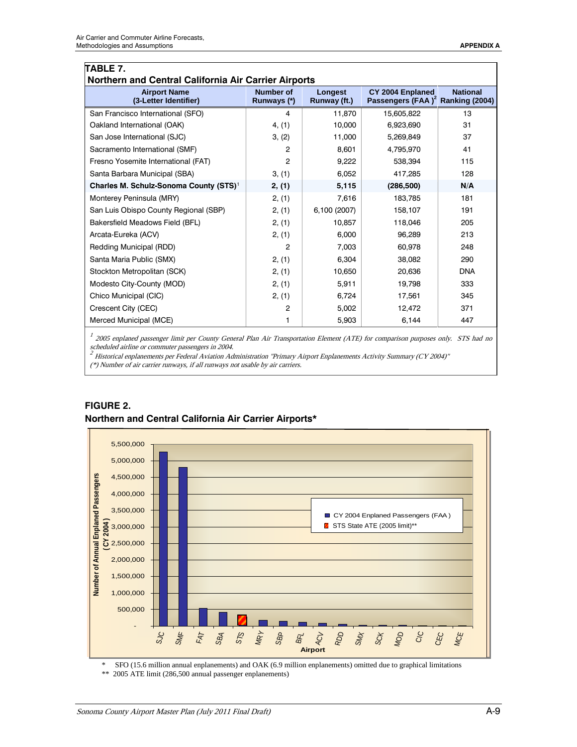| TABLE 7.<br>Northern and Central California Air Carrier Airports |                                 |                         |                                                                  |                 |  |  |
|------------------------------------------------------------------|---------------------------------|-------------------------|------------------------------------------------------------------|-----------------|--|--|
| <b>Airport Name</b><br>(3-Letter Identifier)                     | <b>Number of</b><br>Runways (*) | Longest<br>Runway (ft.) | CY 2004 Enplaned<br>Passengers (FAA) <sup>2</sup> Ranking (2004) | <b>National</b> |  |  |
| San Francisco International (SFO)                                | 4                               | 11.870                  | 15.605.822                                                       | 13              |  |  |
| Oakland International (OAK)                                      | 4, (1)                          | 10,000                  | 6,923,690                                                        | 31              |  |  |
| San Jose International (SJC)                                     | 3, (2)                          | 11,000                  | 5,269,849                                                        | 37              |  |  |
| Sacramento International (SMF)                                   | $\overline{2}$                  | 8,601                   | 4.795.970                                                        | 41              |  |  |
| Fresno Yosemite International (FAT)                              | 2                               | 9,222                   | 538.394                                                          | 115             |  |  |
| Santa Barbara Municipal (SBA)                                    | 3, (1)                          | 6,052                   | 417,285                                                          | 128             |  |  |
| Charles M. Schulz-Sonoma County (STS) <sup>1</sup>               | 2, (1)                          | 5,115                   | (286, 500)                                                       | N/A             |  |  |
| Monterey Peninsula (MRY)                                         | 2, (1)                          | 7,616                   | 183,785                                                          | 181             |  |  |
| San Luis Obispo County Regional (SBP)                            | 2, (1)                          | 6,100 (2007)            | 158,107                                                          | 191             |  |  |
| Bakersfield Meadows Field (BFL)                                  | 2, (1)                          | 10,857                  | 118,046                                                          | 205             |  |  |
| Arcata-Eureka (ACV)                                              | 2, (1)                          | 6,000                   | 96,289                                                           | 213             |  |  |
| Redding Municipal (RDD)                                          | $\overline{2}$                  | 7,003                   | 60.978                                                           | 248             |  |  |
| Santa Maria Public (SMX)                                         | 2, (1)                          | 6,304                   | 38,082                                                           | 290             |  |  |
| Stockton Metropolitan (SCK)                                      | 2, (1)                          | 10,650                  | 20,636                                                           | <b>DNA</b>      |  |  |
| Modesto City-County (MOD)                                        | 2, (1)                          | 5,911                   | 19,798                                                           | 333             |  |  |
| Chico Municipal (CIC)                                            | 2, (1)                          | 6,724                   | 17,561                                                           | 345             |  |  |
| Crescent City (CEC)                                              | 2                               | 5,002                   | 12,472                                                           | 371             |  |  |
| Merced Municipal (MCE)                                           | 1                               | 5,903                   | 6,144                                                            | 447             |  |  |

<sup>1</sup> 2005 enplaned passenger limit per County General Plan Air Transportation Element (ATE) for comparison purposes only. STS had no

scheduled airline or commuter passengers in 2004.<br><sup>2</sup> Historical enplanements per Federal Aviation Administration "Primary Airport Enplanements Activity Summary (CY 2004)"

(\*) Number of air carrier runways, if all runways not usable by air carriers.



# **FIGURE 2. Northern and Central California Air Carrier Airports\***

\* SFO (15.6 million annual enplanements) and OAK (6.9 million enplanements) omitted due to graphical limitations \*\* 2005 ATE limit (286,500 annual passenger enplanements)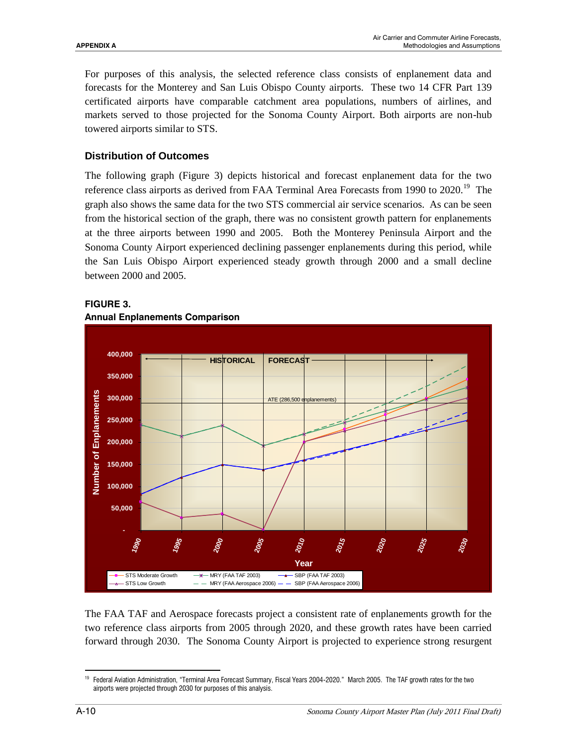For purposes of this analysis, the selected reference class consists of enplanement data and forecasts for the Monterey and San Luis Obispo County airports. These two 14 CFR Part 139 certificated airports have comparable catchment area populations, numbers of airlines, and markets served to those projected for the Sonoma County Airport. Both airports are non-hub towered airports similar to STS.

#### **Distribution of Outcomes**

The following graph (Figure 3) depicts historical and forecast enplanement data for the two reference class airports as derived from FAA Terminal Area Forecasts from 1990 to 2020.<sup>19</sup> The graph also shows the same data for the two STS commercial air service scenarios. As can be seen from the historical section of the graph, there was no consistent growth pattern for enplanements at the three airports between 1990 and 2005. Both the Monterey Peninsula Airport and the Sonoma County Airport experienced declining passenger enplanements during this period, while the San Luis Obispo Airport experienced steady growth through 2000 and a small decline between 2000 and 2005.



#### **FIGURE 3.**



#### **Annual Enplanements Comparison**

The FAA TAF and Aerospace forecasts project a consistent rate of enplanements growth for the two reference class airports from 2005 through 2020, and these growth rates have been carried forward through 2030. The Sonoma County Airport is projected to experience strong resurgent

 $\overline{a}$ <sup>19</sup> Federal Aviation Administration, "Terminal Area Forecast Summary, Fiscal Years 2004-2020." March 2005. The TAF growth rates for the two airports were projected through 2030 for purposes of this analysis.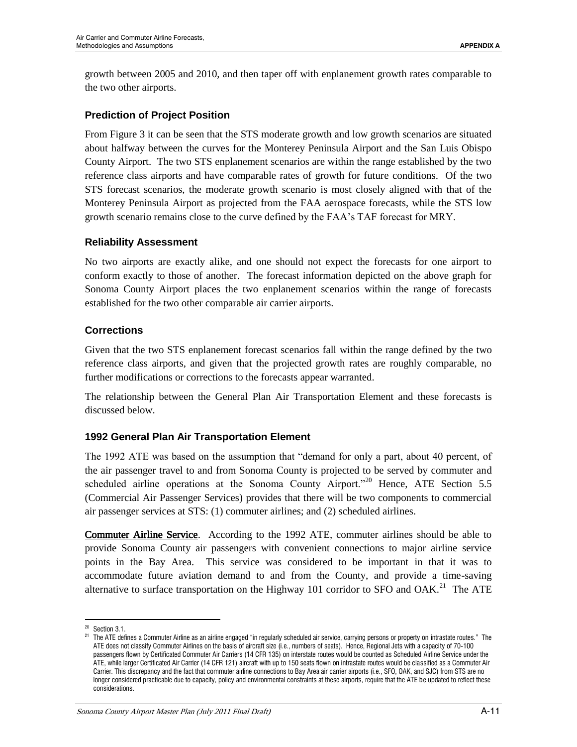growth between 2005 and 2010, and then taper off with enplanement growth rates comparable to the two other airports.

# **Prediction of Project Position**

From Figure 3 it can be seen that the STS moderate growth and low growth scenarios are situated about halfway between the curves for the Monterey Peninsula Airport and the San Luis Obispo County Airport. The two STS enplanement scenarios are within the range established by the two reference class airports and have comparable rates of growth for future conditions. Of the two STS forecast scenarios, the moderate growth scenario is most closely aligned with that of the Monterey Peninsula Airport as projected from the FAA aerospace forecasts, while the STS low growth scenario remains close to the curve defined by the FAA's TAF forecast for MRY.

# **Reliability Assessment**

No two airports are exactly alike, and one should not expect the forecasts for one airport to conform exactly to those of another. The forecast information depicted on the above graph for Sonoma County Airport places the two enplanement scenarios within the range of forecasts established for the two other comparable air carrier airports.

# **Corrections**

Given that the two STS enplanement forecast scenarios fall within the range defined by the two reference class airports, and given that the projected growth rates are roughly comparable, no further modifications or corrections to the forecasts appear warranted.

The relationship between the General Plan Air Transportation Element and these forecasts is discussed below.

# **1992 General Plan Air Transportation Element**

The 1992 ATE was based on the assumption that "demand for only a part, about 40 percent, of the air passenger travel to and from Sonoma County is projected to be served by commuter and scheduled airline operations at the Sonoma County Airport."<sup>20</sup> Hence, ATE Section 5.5 (Commercial Air Passenger Services) provides that there will be two components to commercial air passenger services at STS: (1) commuter airlines; and (2) scheduled airlines.

Commuter Airline Service. According to the 1992 ATE, commuter airlines should be able to provide Sonoma County air passengers with convenient connections to major airline service points in the Bay Area. This service was considered to be important in that it was to accommodate future aviation demand to and from the County, and provide a time-saving alternative to surface transportation on the Highway 101 corridor to SFO and OAK.<sup>21</sup> The ATE

<sup>&</sup>lt;sup>20</sup> Section 3.1.

<sup>&</sup>lt;sup>21</sup> The ATE defines a Commuter Airline as an airline engaged "in regularly scheduled air service, carrying persons or property on intrastate routes." The ATE does not classify Commuter Airlines on the basis of aircraft size (i.e., numbers of seats). Hence, Regional Jets with a capacity of 70-100 passengers flown by Certificated Commuter Air Carriers (14 CFR 135) on interstate routes would be counted as Scheduled Airline Service under the ATE, while larger Certificated Air Carrier (14 CFR 121) aircraft with up to 150 seats flown on intrastate routes would be classified as a Commuter Air Carrier. This discrepancy and the fact that commuter airline connections to Bay Area air carrier airports (i.e., SFO, OAK, and SJC) from STS are no longer considered practicable due to capacity, policy and environmental constraints at these airports, require that the ATE be updated to reflect these considerations.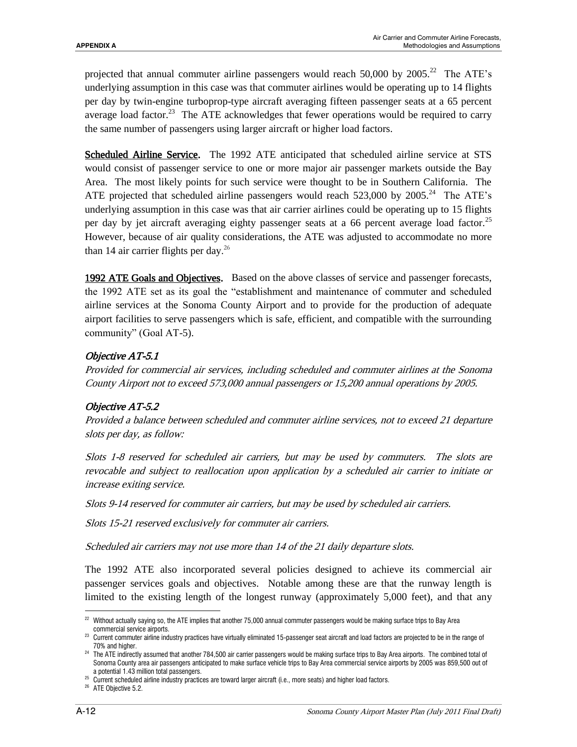projected that annual commuter airline passengers would reach 50,000 by  $2005.<sup>22</sup>$  The ATE's underlying assumption in this case was that commuter airlines would be operating up to 14 flights per day by twin-engine turboprop-type aircraft averaging fifteen passenger seats at a 65 percent average load factor.<sup>23</sup> The ATE acknowledges that fewer operations would be required to carry the same number of passengers using larger aircraft or higher load factors.

Scheduled Airline Service. The 1992 ATE anticipated that scheduled airline service at STS would consist of passenger service to one or more major air passenger markets outside the Bay Area. The most likely points for such service were thought to be in Southern California. The ATE projected that scheduled airline passengers would reach  $523,000$  by  $2005.^{24}$  The ATE's underlying assumption in this case was that air carrier airlines could be operating up to 15 flights per day by jet aircraft averaging eighty passenger seats at a 66 percent average load factor.<sup>25</sup> However, because of air quality considerations, the ATE was adjusted to accommodate no more than 14 air carrier flights per day. 26

1992 ATE Goals and Objectives. Based on the above classes of service and passenger forecasts, the 1992 ATE set as its goal the "establishment and maintenance of commuter and scheduled airline services at the Sonoma County Airport and to provide for the production of adequate airport facilities to serve passengers which is safe, efficient, and compatible with the surrounding community" (Goal AT-5).

# Objective AT-5.1

Provided for commercial air services, including scheduled and commuter airlines at the Sonoma County Airport not to exceed 573,000 annual passengers or 15,200 annual operations by 2005.

# Objective AT-5.2

Provided a balance between scheduled and commuter airline services, not to exceed 21 departure slots per day, as follow:

Slots 1-8 reserved for scheduled air carriers, but may be used by commuters. The slots are revocable and subject to reallocation upon application by a scheduled air carrier to initiate or increase exiting service.

Slots 9-14 reserved for commuter air carriers, but may be used by scheduled air carriers.

Slots 15-21 reserved exclusively for commuter air carriers.

Scheduled air carriers may not use more than 14 of the 21 daily departure slots.

The 1992 ATE also incorporated several policies designed to achieve its commercial air passenger services goals and objectives. Notable among these are that the runway length is limited to the existing length of the longest runway (approximately 5,000 feet), and that any

 $\overline{a}$ <sup>22</sup> Without actually saying so, the ATE implies that another 75,000 annual commuter passengers would be making surface trips to Bay Area commercial service airports.

<sup>&</sup>lt;sup>23</sup> Current commuter airline industry practices have virtually eliminated 15-passenger seat aircraft and load factors are projected to be in the range of 70% and higher.

<sup>&</sup>lt;sup>24</sup> The ATE indirectly assumed that another 784,500 air carrier passengers would be making surface trips to Bay Area airports. The combined total of Sonoma County area air passengers anticipated to make surface vehicle trips to Bay Area commercial service airports by 2005 was 859,500 out of a potential 1.43 million total passengers.

<sup>25</sup> Current scheduled airline industry practices are toward larger aircraft (i.e., more seats) and higher load factors.

<sup>&</sup>lt;sup>26</sup> ATE Objective 5.2.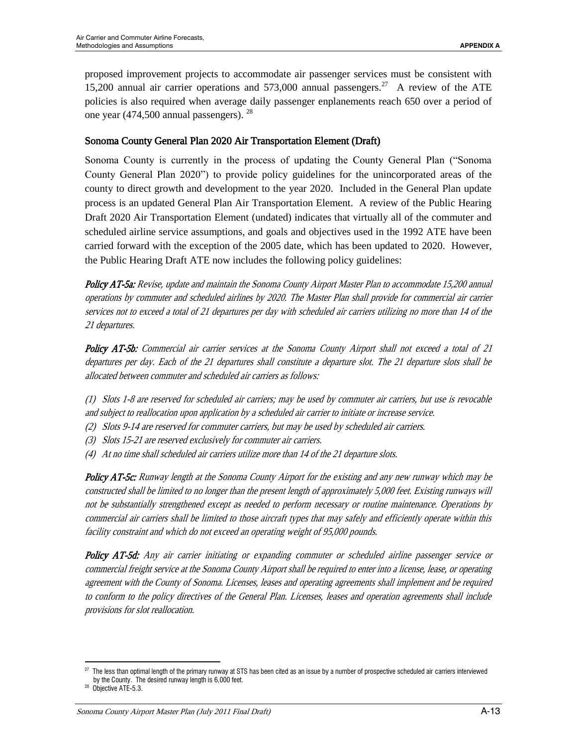proposed improvement projects to accommodate air passenger services must be consistent with 15,200 annual air carrier operations and  $573,000$  annual passengers.<sup>27</sup> A review of the ATE policies is also required when average daily passenger enplanements reach 650 over a period of one year (474,500 annual passengers). <sup>28</sup>

# Sonoma County General Plan 2020 Air Transportation Element (Draft)

Sonoma County is currently in the process of updating the County General Plan ("Sonoma County General Plan 2020") to provide policy guidelines for the unincorporated areas of the county to direct growth and development to the year 2020. Included in the General Plan update process is an updated General Plan Air Transportation Element. A review of the Public Hearing Draft 2020 Air Transportation Element (undated) indicates that virtually all of the commuter and scheduled airline service assumptions, and goals and objectives used in the 1992 ATE have been carried forward with the exception of the 2005 date, which has been updated to 2020. However, the Public Hearing Draft ATE now includes the following policy guidelines:

Policy AT-5a: Revise, update and maintain the Sonoma County Airport Master Plan to accommodate 15,200 annual operations by commuter and scheduled airlines by 2020. The Master Plan shall provide for commercial air carrier services not to exceed a total of 21 departures per day with scheduled air carriers utilizing no more than 14 of the 21 departures.

Policy AT-5b: Commercial air carrier services at the Sonoma County Airport shall not exceed a total of 21 departures per day. Each of the 21 departures shall constitute a departure slot. The 21 departure slots shall be allocated between commuter and scheduled air carriers as follows:

(1) Slots 1-8 are reserved for scheduled air carriers; may be used by commuter air carriers, but use is revocable and subject to reallocation upon application by a scheduled air carrier to initiate or increase service.

- (2) Slots 9-14 are reserved for commuter carriers, but may be used by scheduled air carriers.
- (3) Slots 15-21 are reserved exclusively for commuter air carriers.
- (4) At no time shall scheduled air carriers utilize more than 14 of the 21 departure slots.

Policy AT-5c: Runway length at the Sonoma County Airport for the existing and any new runway which may be constructed shall be limited to no longer than the present length of approximately 5,000 feet. Existing runways will not be substantially strengthened except as needed to perform necessary or routine maintenance. Operations by commercial air carriers shall be limited to those aircraft types that may safely and efficiently operate within this facility constraint and which do not exceed an operating weight of 95,000 pounds.

Policy AT-5d: Any air carrier initiating or expanding commuter or scheduled airline passenger service or commercial freight service at the Sonoma County Airport shall be required to enter into a license, lease, or operating agreement with the County of Sonoma. Licenses, leases and operating agreements shall implement and be required to conform to the policy directives of the General Plan. Licenses, leases and operation agreements shall include provisions for slot reallocation.

 $^{27}$  The less than optimal length of the primary runway at STS has been cited as an issue by a number of prospective scheduled air carriers interviewed by the County. The desired runway length is 6,000 feet.

<sup>&</sup>lt;sup>28</sup> Objective ATE-5.3.

Sonoma County Airport Master Plan (July 2011 Final Draft) A-13